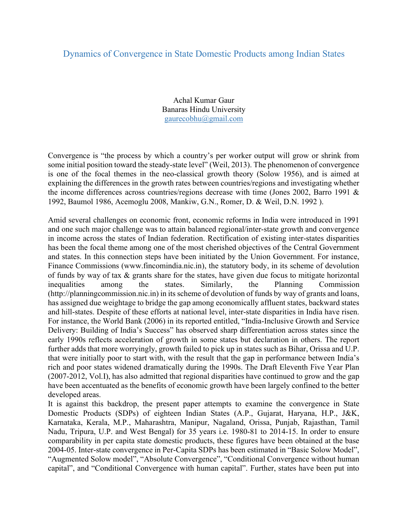## Dynamics of Convergence in State Domestic Products among Indian States

Achal Kumar Gaur Banaras Hindu University gaurecobhu@gmail.com

Convergence is "the process by which a country's per worker output will grow or shrink from some initial position toward the steady-state level" (Weil, 2013). The phenomenon of convergence is one of the focal themes in the neo-classical growth theory (Solow 1956), and is aimed at explaining the differences in the growth rates between countries/regions and investigating whether the income differences across countries/regions decrease with time (Jones 2002, Barro 1991 & 1992, Baumol 1986, Acemoglu 2008, Mankiw, G.N., Romer, D. & Weil, D.N. 1992 ).

Amid several challenges on economic front, economic reforms in India were introduced in 1991 and one such major challenge was to attain balanced regional/inter-state growth and convergence in income across the states of Indian federation. Rectification of existing inter-states disparities has been the focal theme among one of the most cherished objectives of the Central Government and states. In this connection steps have been initiated by the Union Government. For instance, Finance Commissions (www.fincomindia.nic.in), the statutory body, in its scheme of devolution of funds by way of tax & grants share for the states, have given due focus to mitigate horizontal inequalities among the states. Similarly, the Planning Commission (http://planningcommission.nic.in) in its scheme of devolution of funds by way of grants and loans, has assigned due weightage to bridge the gap among economically affluent states, backward states and hill-states. Despite of these efforts at national level, inter-state disparities in India have risen. For instance, the World Bank (2006) in its reported entitled, "India-Inclusive Growth and Service Delivery: Building of India's Success" has observed sharp differentiation across states since the early 1990s reflects acceleration of growth in some states but declaration in others. The report further adds that more worryingly, growth failed to pick up in states such as Bihar, Orissa and U.P. that were initially poor to start with, with the result that the gap in performance between India's rich and poor states widened dramatically during the 1990s. The Draft Eleventh Five Year Plan (2007-2012, Vol.I), has also admitted that regional disparities have continued to grow and the gap have been accentuated as the benefits of economic growth have been largely confined to the better developed areas.

It is against this backdrop, the present paper attempts to examine the convergence in State Domestic Products (SDPs) of eighteen Indian States (A.P., Gujarat, Haryana, H.P., J&K, Karnataka, Kerala, M.P., Maharashtra, Manipur, Nagaland, Orissa, Punjab, Rajasthan, Tamil Nadu, Tripura, U.P. and West Bengal) for 35 years i.e. 1980-81 to 2014-15. In order to ensure comparability in per capita state domestic products, these figures have been obtained at the base 2004-05. Inter-state convergence in Per-Capita SDPs has been estimated in "Basic Solow Model", "Augmented Solow model", "Absolute Convergence", "Conditional Convergence without human capital", and "Conditional Convergence with human capital". Further, states have been put into